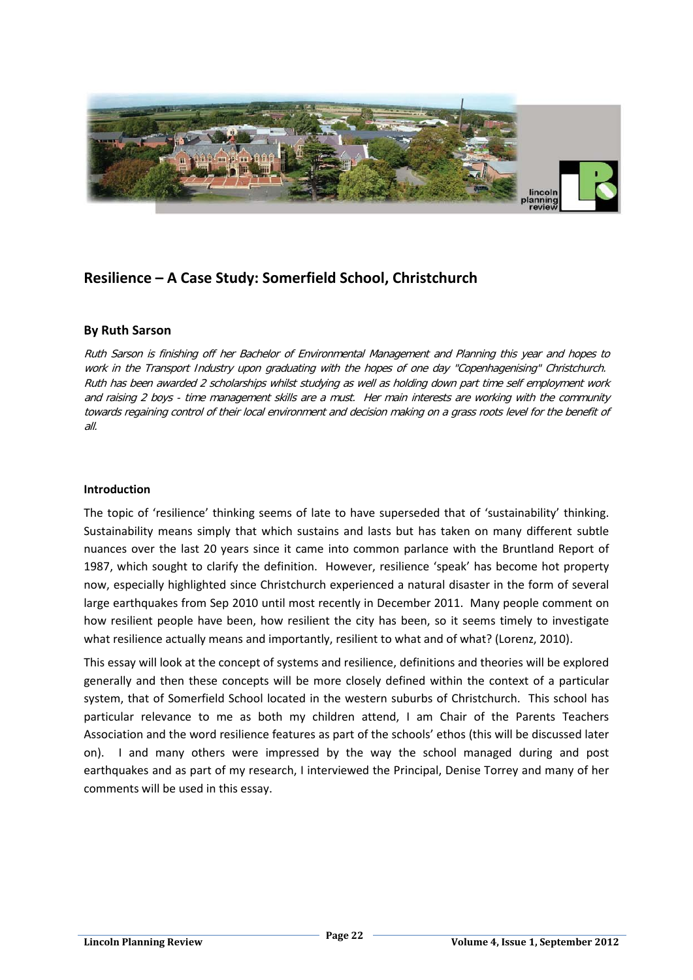

# **Resilience – A Case Study: Somerfield School, Christchurch**

# **By Ruth Sarson**

Ruth Sarson is finishing off her Bachelor of Environmental Management and Planning this year and hopes to work in the Transport Industry upon graduating with the hopes of one day "Copenhagenising" Christchurch. Ruth has been awarded 2 scholarships whilst studying as well as holding down part time self employment work and raising 2 boys - time management skills are a must. Her main interests are working with the community towards regaining control of their local environment and decision making on a grass roots level for the benefit of all.

#### **Introduction**

The topic of 'resilience' thinking seems of late to have superseded that of 'sustainability' thinking. Sustainability means simply that which sustains and lasts but has taken on many different subtle nuances over the last 20 years since it came into common parlance with the Bruntland Report of 1987, which sought to clarify the definition. However, resilience 'speak' has become hot property now, especially highlighted since Christchurch experienced a natural disaster in the form of several large earthquakes from Sep 2010 until most recently in December 2011. Many people comment on how resilient people have been, how resilient the city has been, so it seems timely to investigate what resilience actually means and importantly, resilient to what and of what? (Lorenz, 2010).

This essay will look at the concept of systems and resilience, definitions and theories will be explored generally and then these concepts will be more closely defined within the context of a particular system, that of Somerfield School located in the western suburbs of Christchurch. This school has particular relevance to me as both my children attend, I am Chair of the Parents Teachers Association and the word resilience features as part of the schools' ethos (this will be discussed later on). I and many others were impressed by the way the school managed during and post earthquakes and as part of my research, I interviewed the Principal, Denise Torrey and many of her comments will be used in this essay.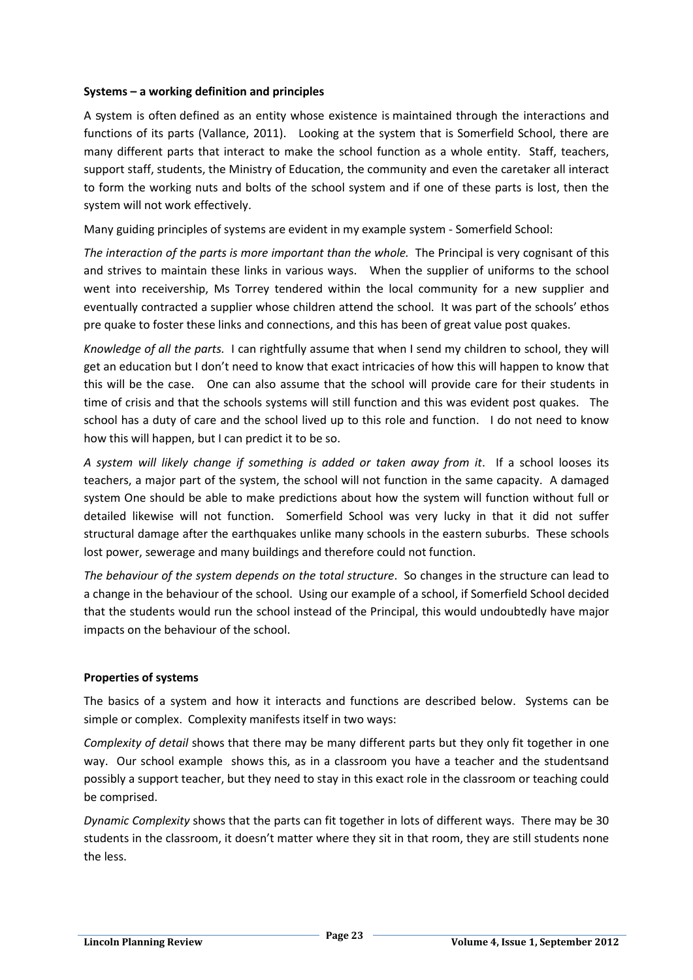#### **Systems – a working definition and principles**

A system is often defined as an entity whose existence is maintained through the interactions and functions of its parts (Vallance, 2011). Looking at the system that is Somerfield School, there are many different parts that interact to make the school function as a whole entity. Staff, teachers, support staff, students, the Ministry of Education, the community and even the caretaker all interact to form the working nuts and bolts of the school system and if one of these parts is lost, then the system will not work effectively.

Many guiding principles of systems are evident in my example system - Somerfield School:

*The interaction of the parts is more important than the whole.* The Principal is very cognisant of this and strives to maintain these links in various ways. When the supplier of uniforms to the school went into receivership, Ms Torrey tendered within the local community for a new supplier and eventually contracted a supplier whose children attend the school. It was part of the schools' ethos pre quake to foster these links and connections, and this has been of great value post quakes.

*Knowledge of all the parts.* I can rightfully assume that when I send my children to school, they will get an education but I don't need to know that exact intricacies of how this will happen to know that this will be the case. One can also assume that the school will provide care for their students in time of crisis and that the schools systems will still function and this was evident post quakes. The school has a duty of care and the school lived up to this role and function. I do not need to know how this will happen, but I can predict it to be so.

*A system will likely change if something is added or taken away from it*. If a school looses its teachers, a major part of the system, the school will not function in the same capacity. A damaged system One should be able to make predictions about how the system will function without full or detailed likewise will not function. Somerfield School was very lucky in that it did not suffer structural damage after the earthquakes unlike many schools in the eastern suburbs. These schools lost power, sewerage and many buildings and therefore could not function.

*The behaviour of the system depends on the total structure*. So changes in the structure can lead to a change in the behaviour of the school. Using our example of a school, if Somerfield School decided that the students would run the school instead of the Principal, this would undoubtedly have major impacts on the behaviour of the school.

# **Properties of systems**

The basics of a system and how it interacts and functions are described below. Systems can be simple or complex. Complexity manifests itself in two ways:

*Complexity of detail* shows that there may be many different parts but they only fit together in one way. Our school example shows this, as in a classroom you have a teacher and the studentsand possibly a support teacher, but they need to stay in this exact role in the classroom or teaching could be comprised.

*Dynamic Complexity* shows that the parts can fit together in lots of different ways. There may be 30 students in the classroom, it doesn't matter where they sit in that room, they are still students none the less.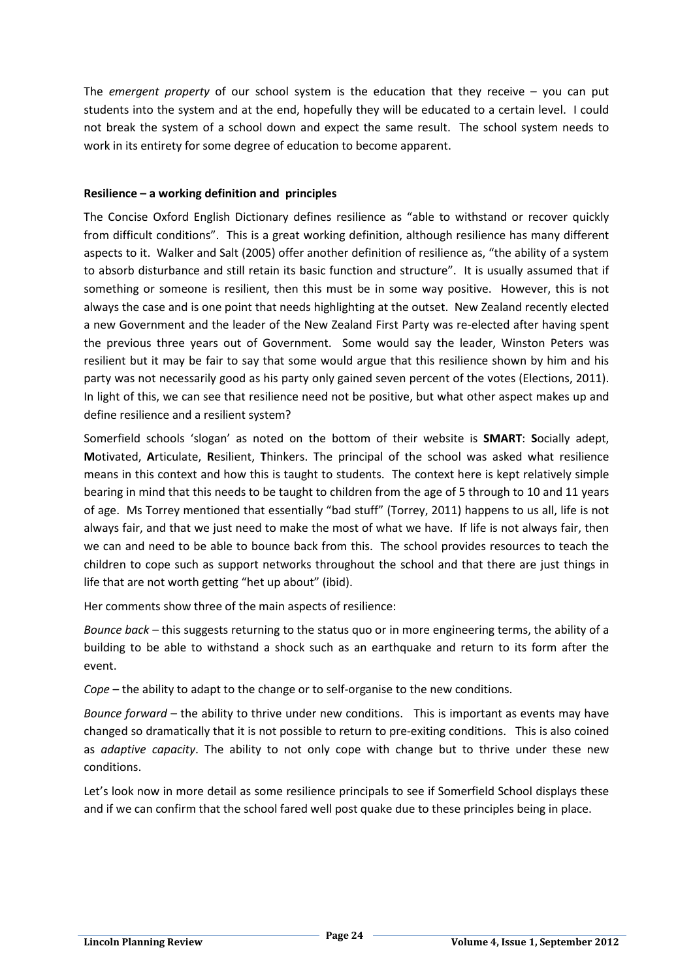The *emergent property* of our school system is the education that they receive – you can put students into the system and at the end, hopefully they will be educated to a certain level. I could not break the system of a school down and expect the same result. The school system needs to work in its entirety for some degree of education to become apparent.

#### **Resilience – a working definition and principles**

The Concise Oxford English Dictionary defines resilience as "able to withstand or recover quickly from difficult conditions". This is a great working definition, although resilience has many different aspects to it. Walker and Salt (2005) offer another definition of resilience as, "the ability of a system to absorb disturbance and still retain its basic function and structure". It is usually assumed that if something or someone is resilient, then this must be in some way positive. However, this is not always the case and is one point that needs highlighting at the outset. New Zealand recently elected a new Government and the leader of the New Zealand First Party was re-elected after having spent the previous three years out of Government. Some would say the leader, Winston Peters was resilient but it may be fair to say that some would argue that this resilience shown by him and his party was not necessarily good as his party only gained seven percent of the votes (Elections, 2011). In light of this, we can see that resilience need not be positive, but what other aspect makes up and define resilience and a resilient system?

Somerfield schools 'slogan' as noted on the bottom of their website is **SMART**: **S**ocially adept, **M**otivated, **A**rticulate, **R**esilient, **T**hinkers. The principal of the school was asked what resilience means in this context and how this is taught to students. The context here is kept relatively simple bearing in mind that this needs to be taught to children from the age of 5 through to 10 and 11 years of age. Ms Torrey mentioned that essentially "bad stuff" (Torrey, 2011) happens to us all, life is not always fair, and that we just need to make the most of what we have. If life is not always fair, then we can and need to be able to bounce back from this. The school provides resources to teach the children to cope such as support networks throughout the school and that there are just things in life that are not worth getting "het up about" (ibid).

Her comments show three of the main aspects of resilience:

*Bounce back* – this suggests returning to the status quo or in more engineering terms, the ability of a building to be able to withstand a shock such as an earthquake and return to its form after the event.

*Cope* – the ability to adapt to the change or to self-organise to the new conditions.

*Bounce forward* – the ability to thrive under new conditions. This is important as events may have changed so dramatically that it is not possible to return to pre-exiting conditions. This is also coined as *adaptive capacity*. The ability to not only cope with change but to thrive under these new conditions.

Let's look now in more detail as some resilience principals to see if Somerfield School displays these and if we can confirm that the school fared well post quake due to these principles being in place.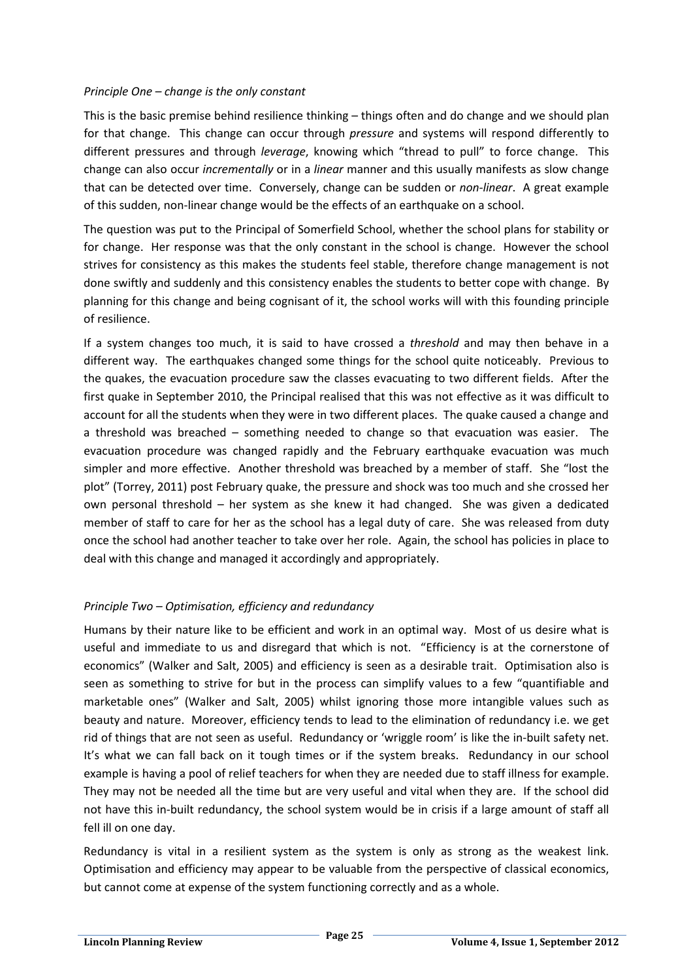#### *Principle One – change is the only constant*

This is the basic premise behind resilience thinking – things often and do change and we should plan for that change. This change can occur through *pressure* and systems will respond differently to different pressures and through *leverage*, knowing which "thread to pull" to force change. This change can also occur *incrementally* or in a *linear* manner and this usually manifests as slow change that can be detected over time. Conversely, change can be sudden or *non-linear*. A great example of this sudden, non-linear change would be the effects of an earthquake on a school.

The question was put to the Principal of Somerfield School, whether the school plans for stability or for change. Her response was that the only constant in the school is change. However the school strives for consistency as this makes the students feel stable, therefore change management is not done swiftly and suddenly and this consistency enables the students to better cope with change. By planning for this change and being cognisant of it, the school works will with this founding principle of resilience.

If a system changes too much, it is said to have crossed a *threshold* and may then behave in a different way. The earthquakes changed some things for the school quite noticeably. Previous to the quakes, the evacuation procedure saw the classes evacuating to two different fields. After the first quake in September 2010, the Principal realised that this was not effective as it was difficult to account for all the students when they were in two different places. The quake caused a change and a threshold was breached – something needed to change so that evacuation was easier. The evacuation procedure was changed rapidly and the February earthquake evacuation was much simpler and more effective. Another threshold was breached by a member of staff. She "lost the plot" (Torrey, 2011) post February quake, the pressure and shock was too much and she crossed her own personal threshold – her system as she knew it had changed. She was given a dedicated member of staff to care for her as the school has a legal duty of care. She was released from duty once the school had another teacher to take over her role. Again, the school has policies in place to deal with this change and managed it accordingly and appropriately.

# *Principle Two – Optimisation, efficiency and redundancy*

Humans by their nature like to be efficient and work in an optimal way. Most of us desire what is useful and immediate to us and disregard that which is not. "Efficiency is at the cornerstone of economics" (Walker and Salt, 2005) and efficiency is seen as a desirable trait. Optimisation also is seen as something to strive for but in the process can simplify values to a few "quantifiable and marketable ones" (Walker and Salt, 2005) whilst ignoring those more intangible values such as beauty and nature. Moreover, efficiency tends to lead to the elimination of redundancy i.e. we get rid of things that are not seen as useful. Redundancy or 'wriggle room' is like the in-built safety net. It's what we can fall back on it tough times or if the system breaks. Redundancy in our school example is having a pool of relief teachers for when they are needed due to staff illness for example. They may not be needed all the time but are very useful and vital when they are. If the school did not have this in-built redundancy, the school system would be in crisis if a large amount of staff all fell ill on one day.

Redundancy is vital in a resilient system as the system is only as strong as the weakest link. Optimisation and efficiency may appear to be valuable from the perspective of classical economics, but cannot come at expense of the system functioning correctly and as a whole.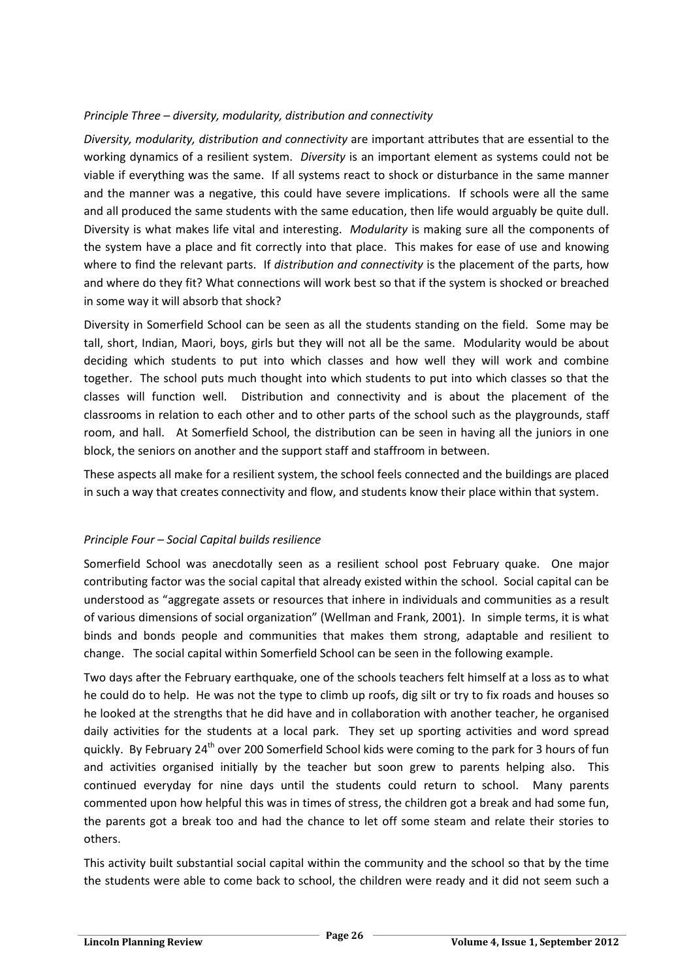# *Principle Three – diversity, modularity, distribution and connectivity*

*Diversity, modularity, distribution and connectivity* are important attributes that are essential to the working dynamics of a resilient system. *Diversity* is an important element as systems could not be viable if everything was the same. If all systems react to shock or disturbance in the same manner and the manner was a negative, this could have severe implications. If schools were all the same and all produced the same students with the same education, then life would arguably be quite dull. Diversity is what makes life vital and interesting. *Modularity* is making sure all the components of the system have a place and fit correctly into that place. This makes for ease of use and knowing where to find the relevant parts. If *distribution and connectivity* is the placement of the parts, how and where do they fit? What connections will work best so that if the system is shocked or breached in some way it will absorb that shock?

Diversity in Somerfield School can be seen as all the students standing on the field. Some may be tall, short, Indian, Maori, boys, girls but they will not all be the same. Modularity would be about deciding which students to put into which classes and how well they will work and combine together. The school puts much thought into which students to put into which classes so that the classes will function well. Distribution and connectivity and is about the placement of the classrooms in relation to each other and to other parts of the school such as the playgrounds, staff room, and hall. At Somerfield School, the distribution can be seen in having all the juniors in one block, the seniors on another and the support staff and staffroom in between.

These aspects all make for a resilient system, the school feels connected and the buildings are placed in such a way that creates connectivity and flow, and students know their place within that system.

# *Principle Four – Social Capital builds resilience*

Somerfield School was anecdotally seen as a resilient school post February quake. One major contributing factor was the social capital that already existed within the school. Social capital can be understood as "aggregate assets or resources that inhere in individuals and communities as a result of various dimensions of social organization" (Wellman and Frank, 2001). In simple terms, it is what binds and bonds people and communities that makes them strong, adaptable and resilient to change. The social capital within Somerfield School can be seen in the following example.

Two days after the February earthquake, one of the schools teachers felt himself at a loss as to what he could do to help. He was not the type to climb up roofs, dig silt or try to fix roads and houses so he looked at the strengths that he did have and in collaboration with another teacher, he organised daily activities for the students at a local park. They set up sporting activities and word spread quickly. By February 24<sup>th</sup> over 200 Somerfield School kids were coming to the park for 3 hours of fun and activities organised initially by the teacher but soon grew to parents helping also. This continued everyday for nine days until the students could return to school. Many parents commented upon how helpful this was in times of stress, the children got a break and had some fun, the parents got a break too and had the chance to let off some steam and relate their stories to others.

This activity built substantial social capital within the community and the school so that by the time the students were able to come back to school, the children were ready and it did not seem such a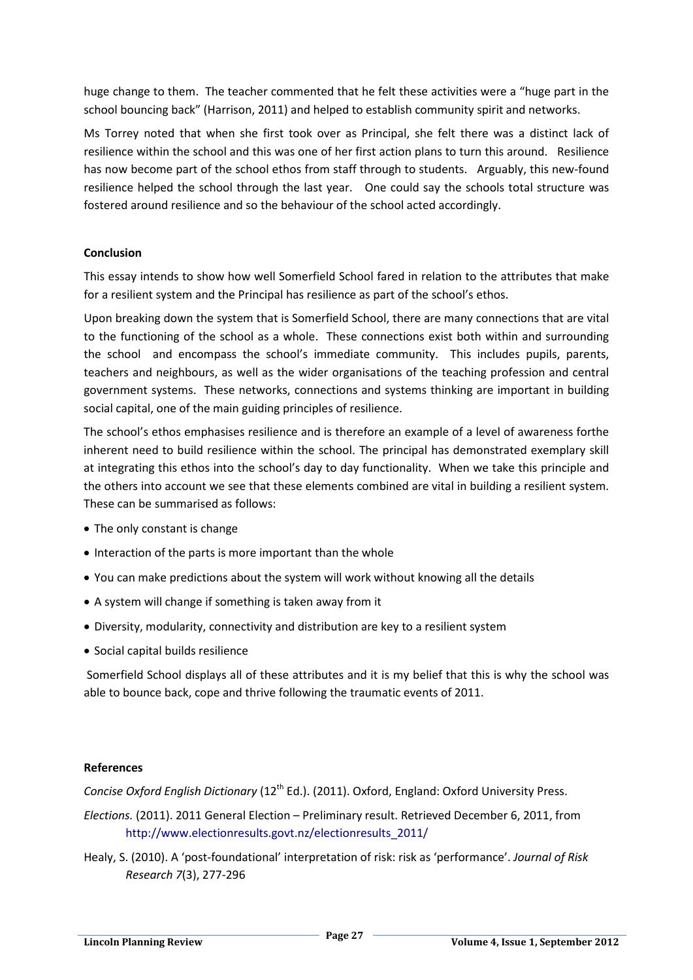huge change to them. The teacher commented that he felt these activities were a "huge part in the school bouncing back" (Harrison, 2011) and helped to establish community spirit and networks.

Ms Torrey noted that when she first took over as Principal, she felt there was a distinct lack of resilience within the school and this was one of her first action plans to turn this around. Resilience has now become part of the school ethos from staff through to students. Arguably, this new-found resilience helped the school through the last year. One could say the schools total structure was fostered around resilience and so the behaviour of the school acted accordingly.

# **Conclusion**

This essay intends to show how well Somerfield School fared in relation to the attributes that make for a resilient system and the Principal has resilience as part of the school's ethos.

Upon breaking down the system that is Somerfield School, there are many connections that are vital to the functioning of the school as a whole. These connections exist both within and surrounding the school and encompass the school's immediate community. This includes pupils, parents, teachers and neighbours, as well as the wider organisations of the teaching profession and central government systems. These networks, connections and systems thinking are important in building social capital, one of the main guiding principles of resilience.

The school's ethos emphasises resilience and is therefore an example of a level of awareness forthe inherent need to build resilience within the school. The principal has demonstrated exemplary skill at integrating this ethos into the school's day to day functionality. When we take this principle and the others into account we see that these elements combined are vital in building a resilient system. These can be summarised as follows:

- The only constant is change
- Interaction of the parts is more important than the whole
- You can make predictions about the system will work without knowing all the details
- A system will change if something is taken away from it
- Diversity, modularity, connectivity and distribution are key to a resilient system
- Social capital builds resilience

Somerfield School displays all of these attributes and it is my belief that this is why the school was able to bounce back, cope and thrive following the traumatic events of 2011.

#### **References**

*Concise Oxford English Dictionary* (12<sup>th</sup> Ed.). (2011). Oxford, England: Oxford University Press.

- *Elections.* (2011). 2011 General Election Preliminary result. Retrieved December 6, 2011, from [http://www.electionresults.govt.nz/electionresults\\_2011/](http://www.electionresults.govt.nz/electionresults_2011/)
- Healy, S. (2010). A 'post-foundational' interpretation of risk: risk as 'performance'. *Journal of Risk Research 7*(3), 277-296